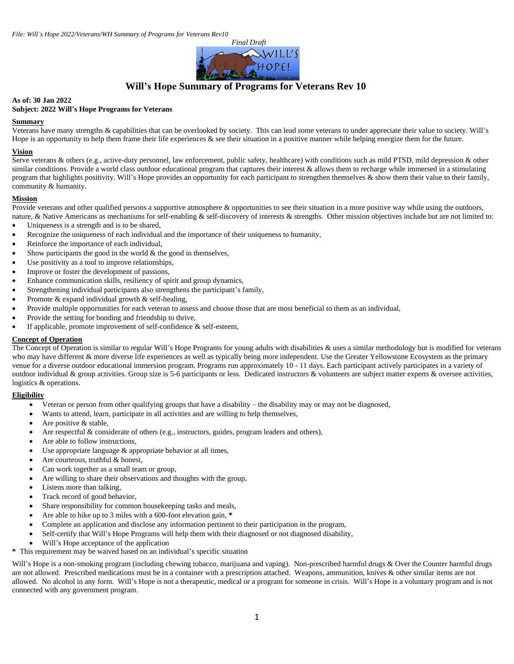

# **Will's Hope Summary of Programs for Veterans Rev 10**

# **As of: 30 Jan 2022**

### **Subject: 2022 Will's Hope Programs for Veterans**

# **Summary**

Veterans have many strengths & capabilities that can be overlooked by society. This can lead some veterans to under appreciate their value to society. Will's Hope is an opportunity to help them frame their life experiences & see their situation in a positive manner while helping energize them for the future.

# **Vision**

Serve veterans & others (e.g., active-duty personnel, law enforcement, public safety, healthcare) with conditions such as mild PTSD, mild depression & other similar conditions. Provide a world class outdoor educational program that captures their interest  $\&$  allows them to recharge while immersed in a stimulating program that highlights positivity. Will's Hope provides an opportunity for each participant to strengthen themselves & show them their value to their family, community & humanity.

#### **Mission**

Provide veterans and other qualified persons a supportive atmosphere  $\&$  opportunities to see their situation in a more positive way while using the outdoors, nature, & Native Americans as mechanisms for self-enabling & self-discovery of interests & strengths. Other mission objectives include but are not limited to:

- Uniqueness is a strength and is to be shared,
- Recognize the uniqueness of each individual and the importance of their uniqueness to humanity,
- Reinforce the importance of each individual,
- Show participants the good in the world  $\&$  the good in themselves,
- Use positivity as a tool to improve relationships,
- Improve or foster the development of passions,
- Enhance communication skills, resiliency of spirit and group dynamics,
- Strengthening individual participants also strengthens the participant's family,
- Promote  $&$  expand individual growth  $&$  self-healing,
- Provide multiple opportunities for each veteran to assess and choose those that are most beneficial to them as an individual,
- Provide the setting for bonding and friendship to thrive,
- If applicable, promote improvement of self-confidence  $\&$  self-esteem,

#### **Concept of Operation**

The Concept of Operation is similar to regular Will's Hope Programs for young adults with disabilities & uses a similar methodology but is modified for veterans who may have different & more diverse life experiences as well as typically being more independent. Use the Greater Yellowstone Ecosystem as the primary venue for a diverse outdoor educational immersion program. Programs run approximately 10 - 11 days. Each participant actively participates in a variety of outdoor individual  $\&$  group activities. Group size is 5-6 participants or less. Dedicated instructors  $\&$  volunteers are subject matter experts  $\&$  oversee activities, logistics & operations.

#### **Eligibility**

- Veteran or person from other qualifying groups that have a disability the disability may or may not be diagnosed,
- Wants to attend, learn, participate in all activities and are willing to help themselves,
- Are positive  $&$  stable,
- Are respectful  $\&$  considerate of others (e.g., instructors, guides, program leaders and others),
- Are able to follow instructions,
- Use appropriate language  $&$  appropriate behavior at all times,
- Are courteous, truthful & honest,
- Can work together as a small team or group,
- Are willing to share their observations and thoughts with the group,
- Listens more than talking,
- Track record of good behavior,
- Share responsibility for common housekeeping tasks and meals,
- Are able to hike up to 3 miles with a 600-foot elevation gain, **\***
- Complete an application and disclose any information pertinent to their participation in the program,
- Self-certify that Will's Hope Programs will help them with their diagnosed or not diagnosed disability,
- Will's Hope acceptance of the application
- **\*** This requirement may be waived based on an individual's specific situation

Will's Hope is a non-smoking program (including chewing tobacco, marijuana and vaping). Non-prescribed harmful drugs & Over the Counter harmful drugs are not allowed. Prescribed medications must be in a container with a prescription attached. Weapons, ammunition, knives & other similar items are not allowed. No alcohol in any form. Will's Hope is not a therapeutic, medical or a program for someone in crisis. Will's Hope is a voluntary program and is not connected with any government program.